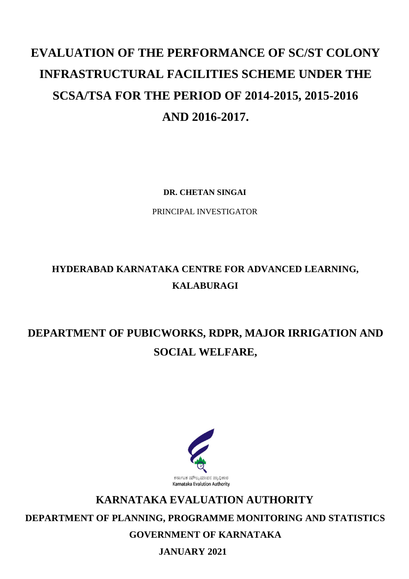# **EVALUATION OF THE PERFORMANCE OF SC/ST COLONY INFRASTRUCTURAL FACILITIES SCHEME UNDER THE SCSA/TSA FOR THE PERIOD OF 2014-2015, 2015-2016 AND 2016-2017.**

**DR. CHETAN SINGAI**

PRINCIPAL INVESTIGATOR

## **HYDERABAD KARNATAKA CENTRE FOR ADVANCED LEARNING, KALABURAGI**

## **DEPARTMENT OF PUBICWORKS, RDPR, MAJOR IRRIGATION AND SOCIAL WELFARE,**



## **KARNATAKA EVALUATION AUTHORITY**

**DEPARTMENT OF PLANNING, PROGRAMME MONITORING AND STATISTICS** 

**GOVERNMENT OF KARNATAKA**

**JANUARY 2021**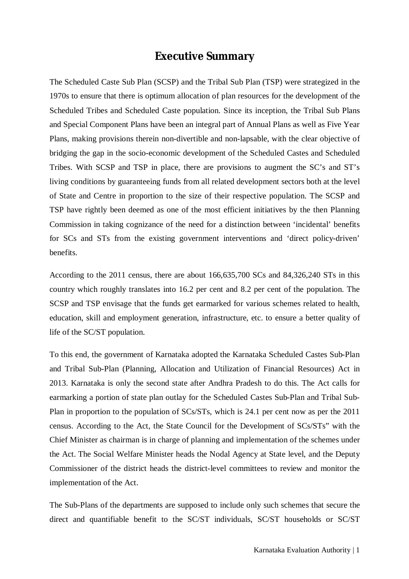### **Executive Summary**

The Scheduled Caste Sub Plan (SCSP) and the Tribal Sub Plan (TSP) were strategized in the 1970s to ensure that there is optimum allocation of plan resources for the development of the Scheduled Tribes and Scheduled Caste population. Since its inception, the Tribal Sub Plans and Special Component Plans have been an integral part of Annual Plans as well as Five Year Plans, making provisions therein non-divertible and non-lapsable, with the clear objective of bridging the gap in the socio-economic development of the Scheduled Castes and Scheduled Tribes. With SCSP and TSP in place, there are provisions to augment the SC's and ST's living conditions by guaranteeing funds from all related development sectors both at the level of State and Centre in proportion to the size of their respective population. The SCSP and TSP have rightly been deemed as one of the most efficient initiatives by the then Planning Commission in taking cognizance of the need for a distinction between 'incidental' benefits for SCs and STs from the existing government interventions and 'direct policy-driven' benefits.

According to the 2011 census, there are about 166,635,700 SCs and 84,326,240 STs in this country which roughly translates into 16.2 per cent and 8.2 per cent of the population. The SCSP and TSP envisage that the funds get earmarked for various schemes related to health, education, skill and employment generation, infrastructure, etc. to ensure a better quality of life of the SC/ST population.

To this end, the government of Karnataka adopted the Karnataka Scheduled Castes Sub-Plan and Tribal Sub-Plan (Planning, Allocation and Utilization of Financial Resources) Act in 2013. Karnataka is only the second state after Andhra Pradesh to do this. The Act calls for earmarking a portion of state plan outlay for the Scheduled Castes Sub-Plan and Tribal Sub-Plan in proportion to the population of SCs/STs, which is 24.1 per cent now as per the 2011 census. According to the Act, the State Council for the Development of SCs/STs" with the Chief Minister as chairman is in charge of planning and implementation of the schemes under the Act. The Social Welfare Minister heads the Nodal Agency at State level, and the Deputy Commissioner of the district heads the district-level committees to review and monitor the implementation of the Act.

The Sub-Plans of the departments are supposed to include only such schemes that secure the direct and quantifiable benefit to the SC/ST individuals, SC/ST households or SC/ST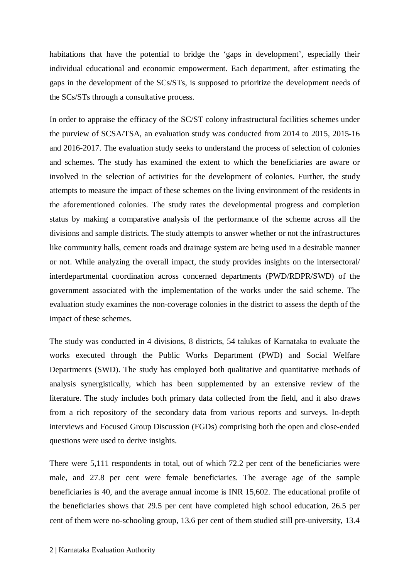habitations that have the potential to bridge the 'gaps in development', especially their individual educational and economic empowerment. Each department, after estimating the gaps in the development of the SCs/STs, is supposed to prioritize the development needs of the SCs/STs through a consultative process.

In order to appraise the efficacy of the SC/ST colony infrastructural facilities schemes under the purview of SCSA/TSA, an evaluation study was conducted from 2014 to 2015, 2015-16 and 2016-2017. The evaluation study seeks to understand the process of selection of colonies and schemes. The study has examined the extent to which the beneficiaries are aware or involved in the selection of activities for the development of colonies. Further, the study attempts to measure the impact of these schemes on the living environment of the residents in the aforementioned colonies. The study rates the developmental progress and completion status by making a comparative analysis of the performance of the scheme across all the divisions and sample districts. The study attempts to answer whether or not the infrastructures like community halls, cement roads and drainage system are being used in a desirable manner or not. While analyzing the overall impact, the study provides insights on the intersectoral/ interdepartmental coordination across concerned departments (PWD/RDPR/SWD) of the government associated with the implementation of the works under the said scheme. The evaluation study examines the non-coverage colonies in the district to assess the depth of the impact of these schemes.

The study was conducted in 4 divisions, 8 districts, 54 talukas of Karnataka to evaluate the works executed through the Public Works Department (PWD) and Social Welfare Departments (SWD). The study has employed both qualitative and quantitative methods of analysis synergistically, which has been supplemented by an extensive review of the literature. The study includes both primary data collected from the field, and it also draws from a rich repository of the secondary data from various reports and surveys. In-depth interviews and Focused Group Discussion (FGDs) comprising both the open and close-ended questions were used to derive insights.

There were 5,111 respondents in total, out of which 72.2 per cent of the beneficiaries were male, and 27.8 per cent were female beneficiaries. The average age of the sample beneficiaries is 40, and the average annual income is INR 15,602. The educational profile of the beneficiaries shows that 29.5 per cent have completed high school education, 26.5 per cent of them were no-schooling group, 13.6 per cent of them studied still pre-university, 13.4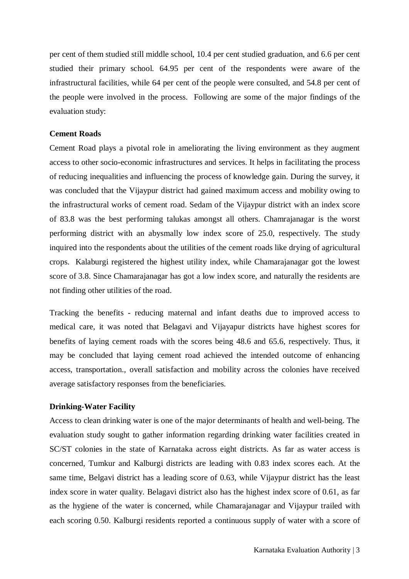per cent of them studied still middle school, 10.4 per cent studied graduation, and 6.6 per cent studied their primary school. 64.95 per cent of the respondents were aware of the infrastructural facilities, while 64 per cent of the people were consulted, and 54.8 per cent of the people were involved in the process. Following are some of the major findings of the evaluation study:

#### **Cement Roads**

Cement Road plays a pivotal role in ameliorating the living environment as they augment access to other socio-economic infrastructures and services. It helps in facilitating the process of reducing inequalities and influencing the process of knowledge gain. During the survey, it was concluded that the Vijaypur district had gained maximum access and mobility owing to the infrastructural works of cement road. Sedam of the Vijaypur district with an index score of 83.8 was the best performing talukas amongst all others. Chamrajanagar is the worst performing district with an abysmally low index score of 25.0, respectively. The study inquired into the respondents about the utilities of the cement roads like drying of agricultural crops. Kalaburgi registered the highest utility index, while Chamarajanagar got the lowest score of 3.8. Since Chamarajanagar has got a low index score, and naturally the residents are not finding other utilities of the road.

Tracking the benefits - reducing maternal and infant deaths due to improved access to medical care, it was noted that Belagavi and Vijayapur districts have highest scores for benefits of laying cement roads with the scores being 48.6 and 65.6, respectively. Thus, it may be concluded that laying cement road achieved the intended outcome of enhancing access, transportation., overall satisfaction and mobility across the colonies have received average satisfactory responses from the beneficiaries.

#### **Drinking-Water Facility**

Access to clean drinking water is one of the major determinants of health and well-being. The evaluation study sought to gather information regarding drinking water facilities created in SC/ST colonies in the state of Karnataka across eight districts. As far as water access is concerned, Tumkur and Kalburgi districts are leading with 0.83 index scores each. At the same time, Belgavi district has a leading score of 0.63, while Vijaypur district has the least index score in water quality. Belagavi district also has the highest index score of 0.61, as far as the hygiene of the water is concerned, while Chamarajanagar and Vijaypur trailed with each scoring 0.50. Kalburgi residents reported a continuous supply of water with a score of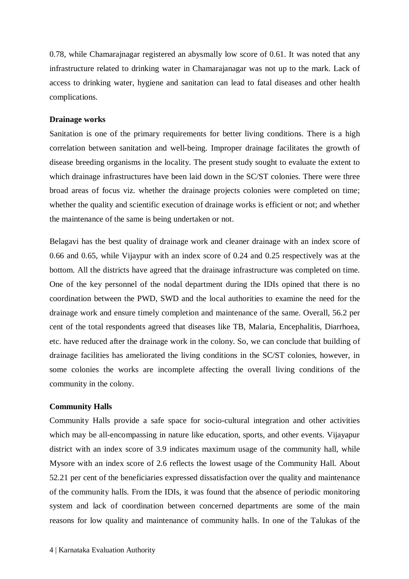0.78, while Chamarajnagar registered an abysmally low score of 0.61. It was noted that any infrastructure related to drinking water in Chamarajanagar was not up to the mark. Lack of access to drinking water, hygiene and sanitation can lead to fatal diseases and other health complications.

#### **Drainage works**

Sanitation is one of the primary requirements for better living conditions. There is a high correlation between sanitation and well-being. Improper drainage facilitates the growth of disease breeding organisms in the locality. The present study sought to evaluate the extent to which drainage infrastructures have been laid down in the SC/ST colonies. There were three broad areas of focus viz. whether the drainage projects colonies were completed on time; whether the quality and scientific execution of drainage works is efficient or not; and whether the maintenance of the same is being undertaken or not.

Belagavi has the best quality of drainage work and cleaner drainage with an index score of 0.66 and 0.65, while Vijaypur with an index score of 0.24 and 0.25 respectively was at the bottom. All the districts have agreed that the drainage infrastructure was completed on time. One of the key personnel of the nodal department during the IDIs opined that there is no coordination between the PWD, SWD and the local authorities to examine the need for the drainage work and ensure timely completion and maintenance of the same. Overall, 56.2 per cent of the total respondents agreed that diseases like TB, Malaria, Encephalitis, Diarrhoea, etc. have reduced after the drainage work in the colony. So, we can conclude that building of drainage facilities has ameliorated the living conditions in the SC/ST colonies, however, in some colonies the works are incomplete affecting the overall living conditions of the community in the colony.

#### **Community Halls**

Community Halls provide a safe space for socio-cultural integration and other activities which may be all-encompassing in nature like education, sports, and other events. Vijayapur district with an index score of 3.9 indicates maximum usage of the community hall, while Mysore with an index score of 2.6 reflects the lowest usage of the Community Hall. About 52.21 per cent of the beneficiaries expressed dissatisfaction over the quality and maintenance of the community halls. From the IDIs, it was found that the absence of periodic monitoring system and lack of coordination between concerned departments are some of the main reasons for low quality and maintenance of community halls. In one of the Talukas of the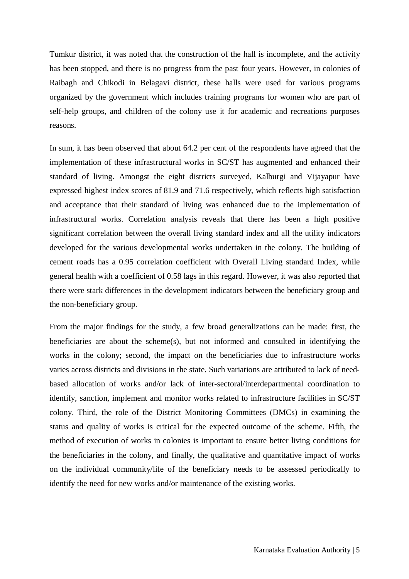Tumkur district, it was noted that the construction of the hall is incomplete, and the activity has been stopped, and there is no progress from the past four years. However, in colonies of Raibagh and Chikodi in Belagavi district, these halls were used for various programs organized by the government which includes training programs for women who are part of self-help groups, and children of the colony use it for academic and recreations purposes reasons.

In sum, it has been observed that about 64.2 per cent of the respondents have agreed that the implementation of these infrastructural works in SC/ST has augmented and enhanced their standard of living. Amongst the eight districts surveyed, Kalburgi and Vijayapur have expressed highest index scores of 81.9 and 71.6 respectively, which reflects high satisfaction and acceptance that their standard of living was enhanced due to the implementation of infrastructural works. Correlation analysis reveals that there has been a high positive significant correlation between the overall living standard index and all the utility indicators developed for the various developmental works undertaken in the colony. The building of cement roads has a 0.95 correlation coefficient with Overall Living standard Index, while general health with a coefficient of 0.58 lags in this regard. However, it was also reported that there were stark differences in the development indicators between the beneficiary group and the non-beneficiary group.

From the major findings for the study, a few broad generalizations can be made: first, the beneficiaries are about the scheme $(s)$ , but not informed and consulted in identifying the works in the colony; second, the impact on the beneficiaries due to infrastructure works varies across districts and divisions in the state. Such variations are attributed to lack of needbased allocation of works and/or lack of inter-sectoral/interdepartmental coordination to identify, sanction, implement and monitor works related to infrastructure facilities in SC/ST colony. Third, the role of the District Monitoring Committees (DMCs) in examining the status and quality of works is critical for the expected outcome of the scheme. Fifth, the method of execution of works in colonies is important to ensure better living conditions for the beneficiaries in the colony, and finally, the qualitative and quantitative impact of works on the individual community/life of the beneficiary needs to be assessed periodically to identify the need for new works and/or maintenance of the existing works.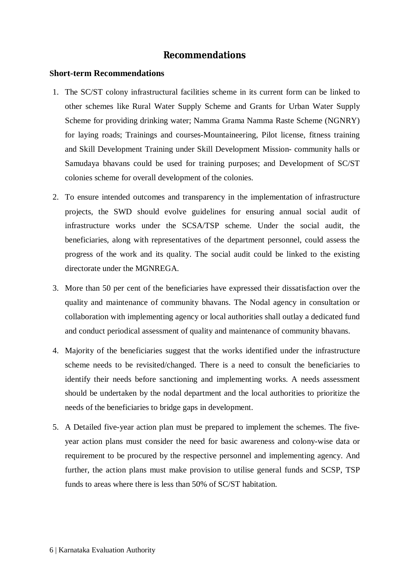#### **Recommendations**

#### **Short-term Recommendations**

- 1. The SC/ST colony infrastructural facilities scheme in its current form can be linked to other schemes like Rural Water Supply Scheme and Grants for Urban Water Supply Scheme for providing drinking water; Namma Grama Namma Raste Scheme (NGNRY) for laying roads; Trainings and courses-Mountaineering, Pilot license, fitness training and Skill Development Training under Skill Development Mission- community halls or Samudaya bhavans could be used for training purposes; and Development of SC/ST colonies scheme for overall development of the colonies.
- 2. To ensure intended outcomes and transparency in the implementation of infrastructure projects, the SWD should evolve guidelines for ensuring annual social audit of infrastructure works under the SCSA/TSP scheme. Under the social audit, the beneficiaries, along with representatives of the department personnel, could assess the progress of the work and its quality. The social audit could be linked to the existing directorate under the MGNREGA.
- 3. More than 50 per cent of the beneficiaries have expressed their dissatisfaction over the quality and maintenance of community bhavans. The Nodal agency in consultation or collaboration with implementing agency or local authorities shall outlay a dedicated fund and conduct periodical assessment of quality and maintenance of community bhavans.
- 4. Majority of the beneficiaries suggest that the works identified under the infrastructure scheme needs to be revisited/changed. There is a need to consult the beneficiaries to identify their needs before sanctioning and implementing works. A needs assessment should be undertaken by the nodal department and the local authorities to prioritize the needs of the beneficiaries to bridge gaps in development.
- 5. A Detailed five-year action plan must be prepared to implement the schemes. The fiveyear action plans must consider the need for basic awareness and colony-wise data or requirement to be procured by the respective personnel and implementing agency. And further, the action plans must make provision to utilise general funds and SCSP, TSP funds to areas where there is less than 50% of SC/ST habitation.